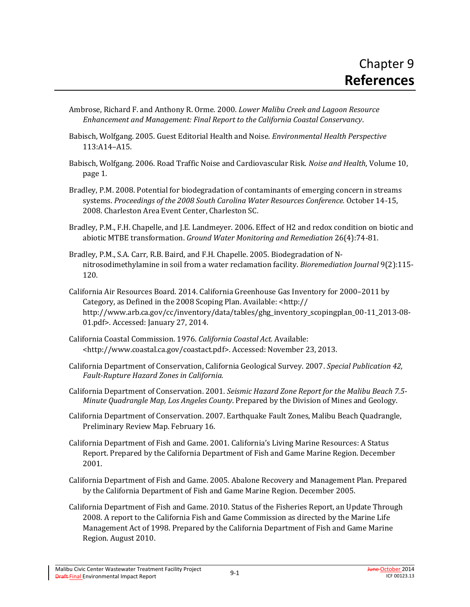- Ambrose, Richard F. and Anthony R. Orme. 2000. *Lower Malibu Creek and Lagoon Resource Enhancement and Management: Final Report to the California Coastal Conservancy*.
- Babisch, Wolfgang. 2005. Guest Editorial Health and Noise. *Environmental Health Perspective* 113:A14–A15.
- Babisch, Wolfgang. 2006. Road Traffic Noise and Cardiovascular Risk. *Noise and Health*, Volume 10, page 1.
- Bradley, P.M. 2008. Potential for biodegradation of contaminants of emerging concern in streams systems. *Proceedings of the 2008 South Carolina Water Resources Conference.* October 14-15, 2008. Charleston Area Event Center, Charleston SC.
- Bradley, P.M., F.H. Chapelle, and J.E. Landmeyer. 2006. Effect of H2 and redox condition on biotic and abiotic MTBE transformation. *Ground Water Monitoring and Remediation* 26(4):74-81.
- Bradley, P.M., S.A. Carr, R.B. Baird, and F.H. Chapelle. 2005. Biodegradation of Nnitrosodimethylamine in soil from a water reclamation facility. *Bioremediation Journal* 9(2):115- 120.
- California Air Resources Board. 2014. California Greenhouse Gas Inventory for 2000–2011 by Category, as Defined in the 2008 Scoping Plan. Available: [<http://](http://www.arb.ca.gov/cc/inventory/data/tables/ghg_inventory_scopingplan_00-11_2013-08-01.pdf) [http://www.arb.ca.gov/cc/inventory/data/tables/ghg\\_inventory\\_scopingplan\\_00-11\\_2013-08-](http://www.arb.ca.gov/cc/inventory/data/tables/ghg_inventory_scopingplan_00-11_2013-08-01.pdf) [01.pdf>](http://www.arb.ca.gov/cc/inventory/data/tables/ghg_inventory_scopingplan_00-11_2013-08-01.pdf). Accessed: January 27, 2014.
- California Coastal Commission. 1976. *California Coastal Act.* Available: [<http://www.coastal.ca.gov/coastact.pdf>](http://www.coastal.ca.gov/coastact.pdf). Accessed: November 23, 2013.
- California Department of Conservation, California Geological Survey. 2007. *Special Publication 42, Fault-Rupture Hazard Zones in California.*
- California Department of Conservation. 2001. *Seismic Hazard Zone Report for the Malibu Beach 7.5- Minute Quadrangle Map, Los Angeles County*. Prepared by the Division of Mines and Geology.
- California Department of Conservation. 2007. Earthquake Fault Zones, Malibu Beach Quadrangle, Preliminary Review Map. February 16.
- California Department of Fish and Game. 2001. California's Living Marine Resources: A Status Report. Prepared by the California Department of Fish and Game Marine Region. December 2001.
- California Department of Fish and Game. 2005. Abalone Recovery and Management Plan. Prepared by the California Department of Fish and Game Marine Region. December 2005.
- California Department of Fish and Game. 2010. Status of the Fisheries Report, an Update Through 2008. A report to the California Fish and Game Commission as directed by the Marine Life Management Act of 1998. Prepared by the California Department of Fish and Game Marine Region. August 2010.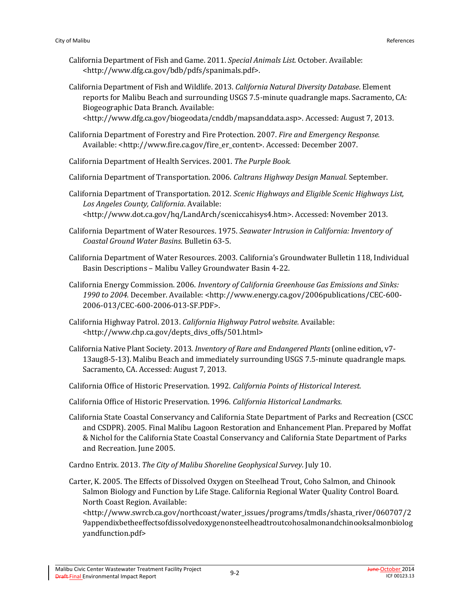- California Department of Fish and Game. 2011. *Special Animals List.* October. Available: <http://www.dfg.ca.gov/bdb/pdfs/spanimals.pdf>.
- California Department of Fish and Wildlife. 2013. *California Natural Diversity Database*. Element reports for Malibu Beach and surrounding USGS 7.5-minute quadrangle maps. Sacramento, CA: Biogeographic Data Branch. Available: <http://www.dfg.ca.gov/biogeodata/cnddb/mapsanddata.asp>. Accessed: August 7, 2013.
- California Department of Forestry and Fire Protection. 2007. *Fire and Emergency Response.* Available: [<http://www.fire.ca.gov/fire\\_er\\_content>](http://www.fire.ca.gov/fire_er_content). Accessed: December 2007.
- California Department of Health Services. 2001. *The Purple Book.*
- California Department of Transportation. 2006. *Caltrans Highway Design Manual*. September.
- California Department of Transportation. 2012. *Scenic Highways and Eligible Scenic Highways List, Los Angeles County, California*. Available: <http://www.dot.ca.gov/hq/LandArch/sceniccahisys4.htm>. Accessed: November 2013.
- California Department of Water Resources. 1975. *Seawater Intrusion in California: Inventory of Coastal Ground Water Basins*. Bulletin 63-5.
- California Department of Water Resources. 2003. California's Groundwater Bulletin 118, Individual Basin Descriptions – Malibu Valley Groundwater Basin 4-22.
- California Energy Commission. 2006. *Inventory of California Greenhouse Gas Emissions and Sinks:*  1990 to 2004. December. Available: <http://www.energy.ca.gov/2006publications/CEC-600-2006-013/CEC-600-2006-013-SF.PDF>.
- California Highway Patrol. 2013. *California Highway Patrol website.* Available: <http://www.chp.ca.gov/depts\_divs\_offs/501.html>
- California Native Plant Society. 2013. *Inventory of Rare and Endangered Plants* (online edition, v7- 13aug8-5-13). Malibu Beach and immediately surrounding USGS 7.5-minute quadrangle maps. Sacramento, CA. Accessed: August 7, 2013.
- California Office of Historic Preservation. 1992. *California Points of Historical Interest.*
- California Office of Historic Preservation. 1996. *California Historical Landmarks.*
- California State Coastal Conservancy and California State Department of Parks and Recreation (CSCC and CSDPR). 2005. Final Malibu Lagoon Restoration and Enhancement Plan. Prepared by Moffat & Nichol for the California State Coastal Conservancy and California State Department of Parks and Recreation. June 2005.
- Cardno Entrix. 2013. *The City of Malibu Shoreline Geophysical Survey*. July 10.
- Carter, K. 2005. The Effects of Dissolved Oxygen on Steelhead Trout, Coho Salmon, and Chinook Salmon Biology and Function by Life Stage. California Regional Water Quality Control Board. North Coast Region. Available:

<http://www.swrcb.ca.gov/northcoast/water\_issues/programs/tmdls/shasta\_river/060707/2 9appendixbetheeffectsofdissolvedoxygenonsteelheadtroutcohosalmonandchinooksalmonbiolog yandfunction.pdf>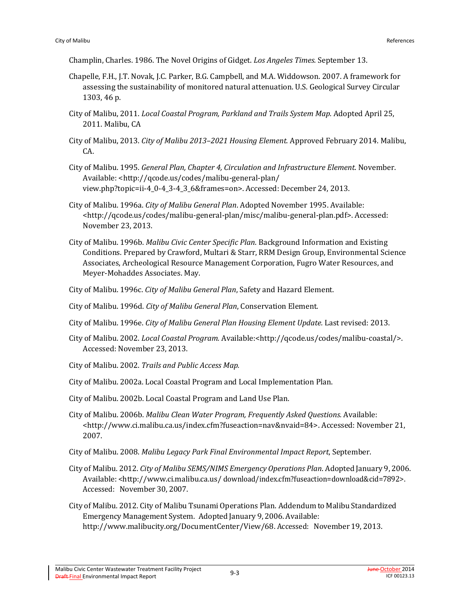Champlin, Charles. 1986. The Novel Origins of Gidget. *Los Angeles Times.* September 13.

- Chapelle, F.H., J.T. Novak, J.C. Parker, B.G. Campbell, and M.A. Widdowson. 2007. A framework for assessing the sustainability of monitored natural attenuation. U.S. Geological Survey Circular 1303, 46 p.
- City of Malibu, 2011. *Local Coastal Program, Parkland and Trails System Map.* Adopted April 25, 2011. Malibu, CA
- City of Malibu, 2013. *City of Malibu 2013–2021 Housing Element.* Approved February 2014. Malibu, CA.
- City of Malibu. 1995. *General Plan, Chapter 4, Circulation and Infrastructure Element*. November. Available: <http://qcode.us/codes/malibu-general-plan/ view.php?topic=ii-4\_0-4\_3-4\_3\_6&frames=on>. Accessed: December 24, 2013.
- City of Malibu. 1996a. *City of Malibu General Plan*. Adopted November 1995. Available: [<http://qcode.us/codes/malibu-general-plan/misc/malibu-general-plan.pdf>](http://qcode.us/codes/malibu-general-plan/misc/malibu-general-plan.pdf). Accessed: November 23, 2013.
- City of Malibu. 1996b. *Malibu Civic Center Specific Plan*. Background Information and Existing Conditions. Prepared by Crawford, Multari & Starr, RRM Design Group, Environmental Science Associates, Archeological Resource Management Corporation, Fugro Water Resources, and Meyer-Mohaddes Associates. May.
- City of Malibu. 1996c. *City of Malibu General Plan*, Safety and Hazard Element.
- City of Malibu. 1996d. *City of Malibu General Plan*, Conservation Element.
- City of Malibu. 1996e. *City of Malibu General Plan Housing Element Update.* Last revised: 2013.
- City of Malibu. 2002. *Local Coastal Program.* Available:[<http://qcode.us/codes/malibu-coastal/>](http://qcode.us/codes/malibu-coastal/). Accessed: November 23, 2013.
- City of Malibu. 2002. *Trails and Public Access Map.*
- City of Malibu. 2002a. Local Coastal Program and Local Implementation Plan.
- City of Malibu. 2002b. Local Coastal Program and Land Use Plan.
- City of Malibu. 2006b. *Malibu Clean Water Program, Frequently Asked Questions.* Available: [<http://www.ci.malibu.ca.us/index.cfm?fuseaction=nav&nvaid=84>](http://www.ci.malibu.ca.us/index.cfm?fuseaction=nav&nvaid=84). Accessed: November 21, 2007.
- City of Malibu. 2008. *Malibu Legacy Park Final Environmental Impact Report*, September.
- City of Malibu. 2012. *City of Malibu SEMS/NIMS Emergency Operations Plan*. Adopted January 9, 2006. Available: [<http://www.ci.malibu.ca.us/](http://www.ci.malibu.ca.us/) download/index.cfm?fuseaction=download&cid=7892>. Accessed: November 30, 2007.
- City of Malibu. 2012. City of Malibu Tsunami Operations Plan. Addendum to Malibu Standardized Emergency Management System. Adopted January 9, 2006. Available: http://www.malibucity.org/DocumentCenter/View/68. Accessed: November 19, 2013.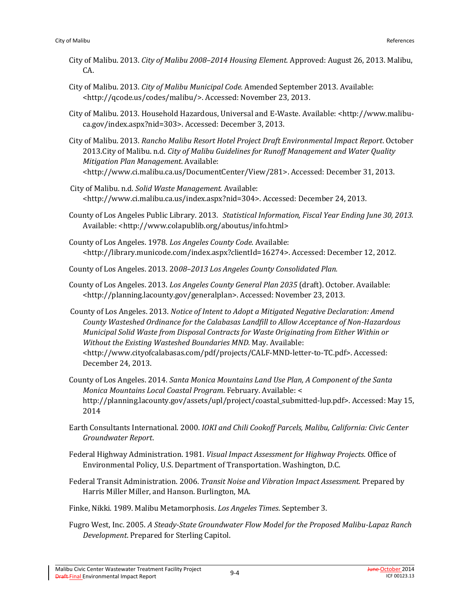- City of Malibu. 2013. *City of Malibu 2008–2014 Housing Element.* Approved: August 26, 2013. Malibu, CA.
- City of Malibu. 2013. *City of Malibu Municipal Code.* Amended September 2013. Available: [<http://qcode.us/codes/malibu/>](http://qcode.us/codes/malibu/). Accessed: November 23, 2013.
- City of Malibu. 2013. Household Hazardous, Universal and E-Waste. Available: [<http://www.malibu](http://www.malibu-ca.gov/index.aspx?nid=303)[ca.gov/index.aspx?nid=303>](http://www.malibu-ca.gov/index.aspx?nid=303). Accessed: December 3, 2013.
- City of Malibu. 2013. *Rancho Malibu Resort Hotel Project Draft Environmental Impact Report*. October 2013.City of Malibu. n.d. *City of Malibu Guidelines for Runoff Management and Water Quality Mitigation Plan Management*. Available: <http://www.ci.malibu.ca.us/DocumentCenter/View/281>. Accessed: December 31, 2013.
- City of Malibu. n.d. *Solid Waste Management.* Available: <http://www.ci.malibu.ca.us/index.aspx?nid=304>. Accessed: December 24, 2013.
- County of Los Angeles Public Library. 2013. *Statistical Information, Fiscal Year Ending June 30, 2013.*  Available: <http://www.colapublib.org/aboutus/info.html>
- County of Los Angeles. 1978. *Los Angeles County Code*. Available: [<http://library.municode.com/index.aspx?clientId=16274>](http://library.municode.com/index.aspx?clientId=16274). Accessed: December 12, 2012.
- County of Los Angeles. 2013. 20*08–2013 Los Angeles County Consolidated Plan.*
- County of Los Angeles. 2013. *Los Angeles County General Plan 2035* (draft). October. Available: [<http://planning.lacounty.gov/generalplan>](http://planning.lacounty.gov/generalplan). Accessed: November 23, 2013.
- County of Los Angeles. 2013. *Notice of Intent to Adopt a Mitigated Negative Declaration: Amend County Wasteshed Ordinance for the Calabasas Landfill to Allow Acceptance of Non-Hazardous Municipal Solid Waste from Disposal Contracts for Waste Originating from Either Within or Without the Existing Wasteshed Boundaries MND.* May. Available: <http://www.cityofcalabasas.com/pdf/projects/CALF-MND-letter-to-TC.pdf>. Accessed: December 24, 2013.
- County of Los Angeles. 2014. *Santa Monica Mountains Land Use Plan, A Component of the Santa Monica Mountains Local Coastal Program*. February. Available: < http://planning.lacounty.gov/assets/upl/project/coastal\_submitted-lup.pdf>. Accessed: May 15, 2014
- Earth Consultants International. 2000. *IOKI and Chili Cookoff Parcels, Malibu, California: Civic Center Groundwater Report*.
- Federal Highway Administration. 1981. *Visual Impact Assessment for Highway Projects*. Office of Environmental Policy, U.S. Department of Transportation. Washington, D.C.
- Federal Transit Administration. 2006. *Transit Noise and Vibration Impact Assessment.* Prepared by Harris Miller Miller, and Hanson. Burlington, MA.
- Finke, Nikki. 1989. Malibu Metamorphosis. *Los Angeles Times*. September 3.
- Fugro West, Inc. 2005. *A Steady-State Groundwater Flow Model for the Proposed Malibu-Lapaz Ranch Development*. Prepared for Sterling Capitol.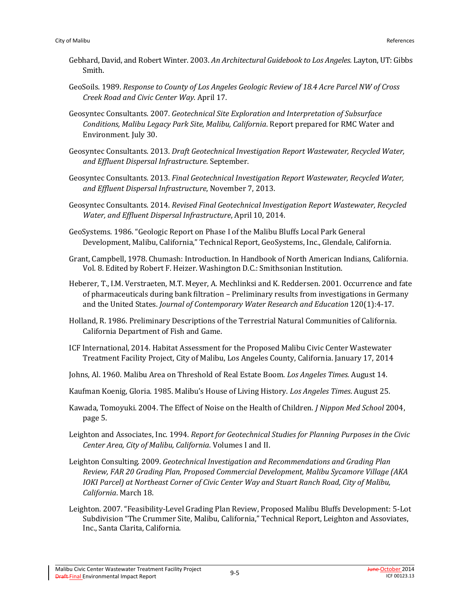- Gebhard, David, and Robert Winter. 2003. *An Architectural Guidebook to Los Angeles.* Layton, UT: Gibbs Smith.
- GeoSoils. 1989. *Response to County of Los Angeles Geologic Review of 18.4 Acre Parcel NW of Cross Creek Road and Civic Center Way*. April 17.
- Geosyntec Consultants. 2007. *Geotechnical Site Exploration and Interpretation of Subsurface Conditions, Malibu Legacy Park Site, Malibu, California*. Report prepared for RMC Water and Environment. July 30.
- Geosyntec Consultants. 2013. *Draft Geotechnical Investigation Report Wastewater, Recycled Water, and Effluent Dispersal Infrastructure*. September.
- Geosyntec Consultants. 2013. *Final Geotechnical Investigation Report Wastewater, Recycled Water, and Effluent Dispersal Infrastructure*, November 7, 2013.
- Geosyntec Consultants. 2014. *Revised Final Geotechnical Investigation Report Wastewater, Recycled Water, and Effluent Dispersal Infrastructure*, April 10, 2014.
- GeoSystems. 1986. "Geologic Report on Phase I of the Malibu Bluffs Local Park General Development, Malibu, California," Technical Report, GeoSystems, Inc., Glendale, California.
- Grant, Campbell, 1978. Chumash: Introduction. In Handbook of North American Indians, California. Vol. 8. Edited by Robert F. Heizer. Washington D.C.: Smithsonian Institution.
- Heberer, T., I.M. Verstraeten, M.T. Meyer, A. Mechlinksi and K. Reddersen. 2001. Occurrence and fate of pharmaceuticals during bank filtration – Preliminary results from investigations in Germany and the United States. *Journal of Contemporary Water Research and Education* 120(1):4-17.
- Holland, R. 1986. Preliminary Descriptions of the Terrestrial Natural Communities of California. California Department of Fish and Game.
- ICF International, 2014. Habitat Assessment for the Proposed Malibu Civic Center Wastewater Treatment Facility Project, City of Malibu, Los Angeles County, California. January 17, 2014
- Johns, Al. 1960. Malibu Area on Threshold of Real Estate Boom. *Los Angeles Times.* August 14.
- Kaufman Koenig, Gloria. 1985. Malibu's House of Living History. *Los Angeles Times*. August 25.
- Kawada, Tomoyuki. 2004. The Effect of Noise on the Health of Children. *J Nippon Med School* 2004, page 5.
- Leighton and Associates, Inc. 1994. *Report for Geotechnical Studies for Planning Purposes in the Civic Center Area, City of Malibu, California*. Volumes I and II.
- Leighton Consulting. 2009. *Geotechnical Investigation and Recommendations and Grading Plan Review, FAR 20 Grading Plan, Proposed Commercial Development, Malibu Sycamore Village (AKA IOKI Parcel) at Northeast Corner of Civic Center Way and Stuart Ranch Road, City of Malibu, California*. March 18.
- Leighton. 2007. "Feasibility-Level Grading Plan Review, Proposed Malibu Bluffs Development: 5-Lot Subdivision "The Crummer Site, Malibu, California," Technical Report, Leighton and Assoviates, Inc., Santa Clarita, California.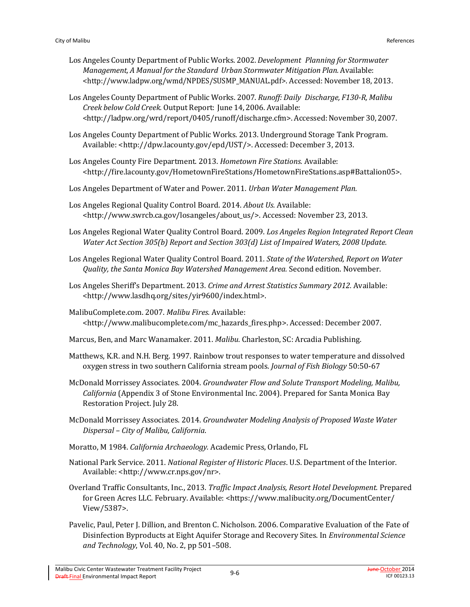- Los Angeles County Department of Public Works. 2002. *Development Planning for Stormwater Management, A Manual for the Standard Urban Stormwater Mitigation Plan.* Available: [<http://www.ladpw.org/wmd/NPDES/SUSMP\\_MANUAL.pdf>](http://www.ladpw.org/wmd/NPDES/SUSMP_MANUAL.pdf). Accessed: November 18, 2013.
- Los Angeles County Department of Public Works. 2007. *Runoff: Daily Discharge, F130-R, Malibu Creek below Cold Creek.* Output Report: June 14, 2006.Available: [<http://ladpw.org/wrd/report/0405/r](http://ladpw.org/wrd/report/0405/)unoff/discharge.cfm>. Accessed:November 30, 2007.
- Los Angeles County Department of Public Works. 2013. Underground Storage Tank Program. Available: [<http://dpw.lacounty.gov/epd/UST/>](http://dpw.lacounty.gov/epd/UST/). Accessed: December 3, 2013.
- Los Angeles County Fire Department. 2013. *Hometown Fire Stations.* Available: <http://fire.lacounty.gov/HometownFireStations/HometownFireStations.asp#Battalion05>.
- Los Angeles Department of Water and Power. 2011. *Urban Water Management Plan.*
- Los Angeles Regional Quality Control Board. 2014. *About Us.* Available: [<http://www.swrcb.ca.gov/losangeles/about\\_us/>](http://www.swrcb.ca.gov/losangeles/about_us/). Accessed: November 23, 2013.
- Los Angeles Regional Water Quality Control Board. 2009. *Los Angeles Region Integrated Report Clean Water Act Section 305(b) Report and Section 303(d) List of Impaired Waters, 2008 Update.*
- Los Angeles Regional Water Quality Control Board. 2011. *State of the Watershed, Report on Water Quality, the Santa Monica Bay Watershed Management Area.* Second edition. November.
- Los Angeles Sheriff's Department. 2013. *Crime and Arrest Statistics Summary 2012.* Available: <http://www.lasdhq.org/sites/yir9600/index.html>.
- MalibuComplete.com. 2007. *Malibu Fires.* Available: [<http://www.malibucomplete.com/mc\\_hazards\\_fires.php>](http://www.malibucomplete.com/mc_hazards_fires.php). Accessed: December 2007.
- Marcus, Ben, and Marc Wanamaker. 2011. *Malibu*. Charleston, SC: Arcadia Publishing.
- Matthews, K.R. and N.H. Berg. 1997. Rainbow trout responses to water temperature and dissolved oxygen stress in two southern California stream pools. *Journal of Fish Biology* 50:50-67
- McDonald Morrissey Associates. 2004. *Groundwater Flow and Solute Transport Modeling, Malibu, California* (Appendix 3 of Stone Environmental Inc. 2004). Prepared for Santa Monica Bay Restoration Project. July 28.
- McDonald Morrissey Associates. 2014. *Groundwater Modeling Analysis of Proposed Waste Water Dispersal – City of Malibu, California*.
- Moratto, M 1984. *California Archaeology.* Academic Press, Orlando, FL
- National Park Service. 2011. *National Register of Historic Places*. U.S. Department of the Interior. Available: <http://www.cr.nps.gov/nr>.
- Overland Traffic Consultants, Inc., 2013. *Traffic Impact Analysis, Resort Hotel Development.* Prepared for Green Acres LLC. February. Available: <https://www.malibucity.org/DocumentCenter/ View/5387>.
- Pavelic, Paul, Peter J. Dillion, and Brenton C. Nicholson. 2006. Comparative Evaluation of the Fate of Disinfection Byproducts at Eight Aquifer Storage and Recovery Sites. In *Environmental Science and Technology*, Vol. 40, No. 2, pp 501–508.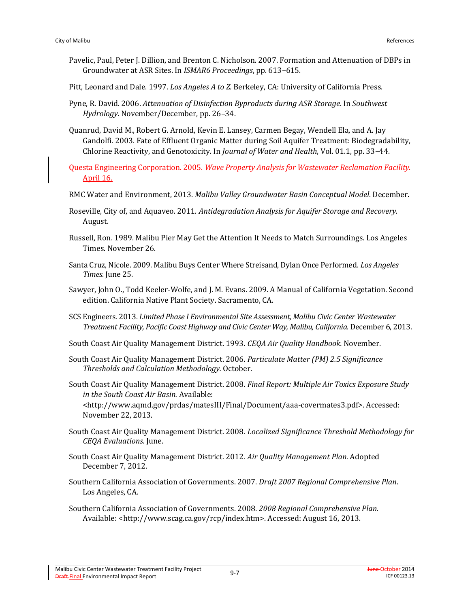- Pavelic, Paul, Peter J. Dillion, and Brenton C. Nicholson. 2007. Formation and Attenuation of DBPs in Groundwater at ASR Sites. In *ISMAR6 Proceedings*, pp. 613–615.
- Pitt, Leonard and Dale. 1997. *Los Angeles A to Z.* Berkeley, CA: University of California Press.
- Pyne, R. David. 2006. *Attenuation of Disinfection Byproducts during ASR Storage*. In *Southwest Hydrology*. November/December, pp. 26–34.
- Quanrud, David M., Robert G. Arnold, Kevin E. Lansey, Carmen Begay, Wendell Ela, and A. Jay Gandolfi. 2003. Fate of Effluent Organic Matter during Soil Aquifer Treatment: Biodegradability, Chlorine Reactivity, and Genotoxicity. In *Journal of Water and Health*, Vol. 01.1, pp. 33–44.

Questa Engineering Corporation. 2005. *Wave Property Analysis for Wastewater Reclamation Facility*. April 16.

- RMC Water and Environment, 2013. *Malibu Valley Groundwater Basin Conceptual Model*. December.
- Roseville, City of, and Aquaveo. 2011. *Antidegradation Analysis for Aquifer Storage and Recovery*. August.
- Russell, Ron. 1989. Malibu Pier May Get the Attention It Needs to Match Surroundings. Los Angeles Times. November 26.
- Santa Cruz, Nicole. 2009. Malibu Buys Center Where Streisand, Dylan Once Performed. *Los Angeles Times*. June 25.
- Sawyer, John O., Todd Keeler-Wolfe, and J. M. Evans. 2009. A Manual of California Vegetation. Second edition. California Native Plant Society. Sacramento, CA.
- SCS Engineers. 2013. *Limited Phase I Environmental Site Assessment, Malibu Civic Center Wastewater Treatment Facility, Pacific Coast Highway and Civic Center Way, Malibu, California.* December 6, 2013.
- South Coast Air Quality Management District. 1993. *CEQA Air Quality Handbook.* November.
- South Coast Air Quality Management District. 2006. *Particulate Matter (PM) 2.5 Significance Thresholds and Calculation Methodology.* October.
- South Coast Air Quality Management District. 2008. *Final Report: Multiple Air Toxics Exposure Study in the South Coast Air Basin.* Available: [<http://www.aqmd.gov/prdas/matesIII/Final/Document/aaa-covermates3.pdf>](http://www.aqmd.gov/prdas/matesIII/Final/Document/aaa-covermates3.pdf). Accessed: November 22, 2013.
- South Coast Air Quality Management District. 2008. *Localized Significance Threshold Methodology for CEQA Evaluations.* June.
- South Coast Air Quality Management District. 2012. *Air Quality Management Plan*. Adopted December 7, 2012.
- Southern California Association of Governments. 2007. *Draft 2007 Regional Comprehensive Plan*. Los Angeles, CA.
- Southern California Association of Governments. 2008. *2008 Regional Comprehensive Plan.* Available: <http://www.scag.ca.gov/rcp/index.htm>. Accessed: August 16, 2013.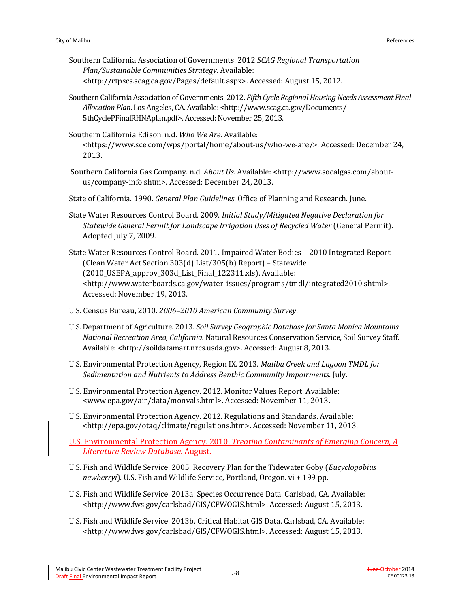- Southern California Association of Governments. 2012 *SCAG Regional Transportation Plan/Sustainable Communities Strategy*. Available: <http://rtpscs.scag.ca.gov/Pages/default.aspx>. Accessed: August 15, 2012.
- Southern California Association of Governments. 2012. *Fifth Cycle Regional Housing Needs Assessment Final Allocation Plan*. Los Angeles, CA. Available: [<http://www.scag.ca.gov/Documents/](http://www.scag.ca.gov/Documents/5thCyclePFinalRHNAplan.pdf) [5thCyclePFinalRHNAplan.pdf>](http://www.scag.ca.gov/Documents/5thCyclePFinalRHNAplan.pdf). Accessed: November 25, 2013.
- Southern California Edison. n.d. *Who We Are.* Available: [<https://www.sce.com/wps/portal/home/about-us/who-we-are/>](https://www.sce.com/wps/portal/home/about-us/who-we-are/). Accessed: December 24, 2013.
- Southern California Gas Company. n.d. *About Us*. Available: [<http://www.socalgas.com/about](http://www.socalgas.com/about-us/company-info.shtm)[us/company-info.shtm>](http://www.socalgas.com/about-us/company-info.shtm). Accessed: December 24, 2013.
- State of California. 1990. *General Plan Guidelines*. Office of Planning and Research. June.
- State Water Resources Control Board. 2009. *Initial Study/Mitigated Negative Declaration for Statewide General Permit for Landscape Irrigation Uses of Recycled Water* (General Permit). Adopted July 7, 2009.
- State Water Resources Control Board. 2011. Impaired Water Bodies 2010 Integrated Report (Clean Water Act Section 303(d) List/305(b) Report) – Statewide (2010\_USEPA\_approv\_303d\_List\_Final\_122311.xls). Available: [<http://www.waterboards.ca.gov/water\\_issues/programs/tmdl/integrated2010.shtml>](http://www.waterboards.ca.gov/water_issues/programs/tmdl/integrated2010.shtml). Accessed: November 19, 2013.
- U.S. Census Bureau, 2010. *2006–2010 American Community Survey*.
- U.S. Department of Agriculture. 2013. *Soil Survey Geographic Database for Santa Monica Mountains National Recreation Area, California.* Natural Resources Conservation Service, Soil Survey Staff. Available: <http://soildatamart.nrcs.usda.gov>. Accessed: August 8, 2013.
- U.S. Environmental Protection Agency, Region IX. 2013. *Malibu Creek and Lagoon TMDL for Sedimentation and Nutrients to Address Benthic Community Impairments*. July.
- U.S. Environmental Protection Agency. 2012. Monitor Values Report. Available: <www.epa.gov/air/data/monvals.html>. Accessed: November 11, 2013.
- U.S. Environmental Protection Agency. 2012. Regulations and Standards. Available: <http://epa.gov/otaq/climate/regulations.htm>. Accessed: November 11, 2013.
- U.S. Environmental Protection Agency. 2010. *Treating Contaminants of Emerging Concern, A Literature Review Database*. August.
- U.S. Fish and Wildlife Service. 2005. Recovery Plan for the Tidewater Goby (*Eucyclogobius newberryi*). U.S. Fish and Wildlife Service, Portland, Oregon. vi + 199 pp.
- U.S. Fish and Wildlife Service. 2013a. Species Occurrence Data. Carlsbad, CA. Available: <http://www.fws.gov/carlsbad/GIS/CFWOGIS.html>. Accessed: August 15, 2013.
- U.S. Fish and Wildlife Service. 2013b. Critical Habitat GIS Data. Carlsbad, CA. Available: <http://www.fws.gov/carlsbad/GIS/CFWOGIS.html>. Accessed: August 15, 2013.